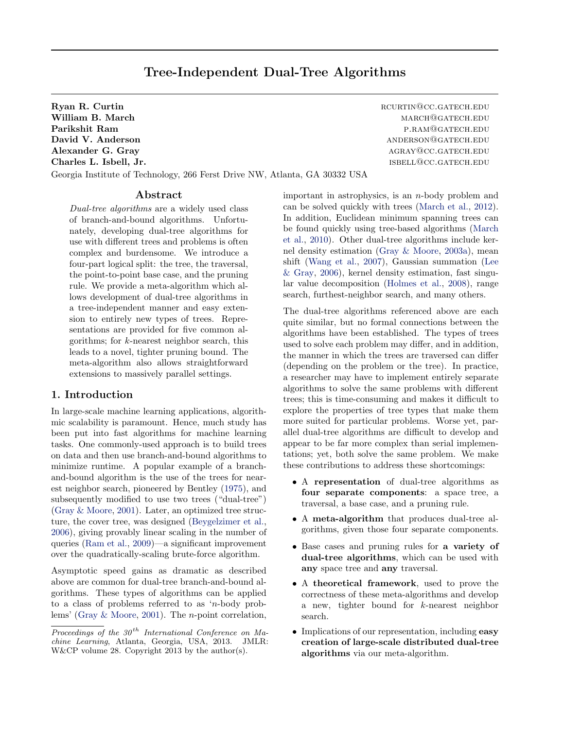# Tree-Independent Dual-Tree Algorithms

Georgia Institute of Technology, 266 Ferst Drive NW, Atlanta, GA 30332 USA

Abstract

Dual-tree algorithms are a widely used class of branch-and-bound algorithms. Unfortunately, developing dual-tree algorithms for use with different trees and problems is often complex and burdensome. We introduce a four-part logical split: the tree, the traversal, the point-to-point base case, and the pruning rule. We provide a meta-algorithm which allows development of dual-tree algorithms in a tree-independent manner and easy extension to entirely new types of trees. Representations are provided for five common algorithms; for  $k$ -nearest neighbor search, this leads to a novel, tighter pruning bound. The meta-algorithm also allows straightforward extensions to massively parallel settings.

# 1. Introduction

In large-scale machine learning applications, algorithmic scalability is paramount. Hence, much study has been put into fast algorithms for machine learning tasks. One commonly-used approach is to build trees on data and then use branch-and-bound algorithms to minimize runtime. A popular example of a branchand-bound algorithm is the use of the trees for nearest neighbor search, pioneered by Bentley [\(1975\)](#page-8-0), and subsequently modified to use two trees ("dual-tree") [\(Gray & Moore,](#page-8-0) [2001\)](#page-8-0). Later, an optimized tree structure, the cover tree, was designed [\(Beygelzimer et al.,](#page-8-0) [2006\)](#page-8-0), giving provably linear scaling in the number of queries [\(Ram et al.,](#page-8-0) [2009\)](#page-8-0)—a significant improvement over the quadratically-scaling brute-force algorithm.

Asymptotic speed gains as dramatic as described above are common for dual-tree branch-and-bound algorithms. These types of algorithms can be applied to a class of problems referred to as 'n-body problems' [\(Gray & Moore,](#page-8-0) [2001\)](#page-8-0). The n-point correlation,

Charles L. Isbell, Jr. isbell,  $\text{or}$  is a set of the set of the set of the set of the set of the set of the set of the set of the set of the set of the set of the set of the set of the set of the set of the set of the se important in astrophysics, is an n-body problem and can be solved quickly with trees [\(March et al.,](#page-8-0) [2012\)](#page-8-0). In addition, Euclidean minimum spanning trees can be found quickly using tree-based algorithms [\(March](#page-8-0) [et al.,](#page-8-0) [2010\)](#page-8-0). Other dual-tree algorithms include kernel density estimation [\(Gray & Moore,](#page-8-0) [2003a\)](#page-8-0), mean shift [\(Wang et al.,](#page-8-0) [2007\)](#page-8-0), Gaussian summation [\(Lee](#page-8-0) [& Gray,](#page-8-0) [2006\)](#page-8-0), kernel density estimation, fast singular value decomposition [\(Holmes et al.,](#page-8-0) [2008\)](#page-8-0), range

> The dual-tree algorithms referenced above are each quite similar, but no formal connections between the algorithms have been established. The types of trees used to solve each problem may differ, and in addition, the manner in which the trees are traversed can differ (depending on the problem or the tree). In practice, a researcher may have to implement entirely separate algorithms to solve the same problems with different trees; this is time-consuming and makes it difficult to explore the properties of tree types that make them more suited for particular problems. Worse yet, parallel dual-tree algorithms are difficult to develop and appear to be far more complex than serial implementations; yet, both solve the same problem. We make these contributions to address these shortcomings:

search, furthest-neighbor search, and many others.

- A representation of dual-tree algorithms as four separate components: a space tree, a traversal, a base case, and a pruning rule.
- A meta-algorithm that produces dual-tree algorithms, given those four separate components.
- Base cases and pruning rules for a variety of dual-tree algorithms, which can be used with any space tree and any traversal.
- A theoretical framework, used to prove the correctness of these meta-algorithms and develop a new, tighter bound for k-nearest neighbor search.
- Implications of our representation, including easy creation of large-scale distributed dual-tree algorithms via our meta-algorithm.

Ryan R. Curtin **Report Contains a Curtin** Report of the Report Report Report Report Report Report Report Report Report Report Report Report Report Report Report Report Report Report Report Report Report Report Report Repor William B. March march march march march march march march march march march march march march march march march march march march march march march march march march march march march march march march march march march m Parikshit Ram provides a series of the property of the property of the p.r.AM@GATECH.EDU David V. Anderson anderson@gatech.edu Alexander G. Gray and the contract of the contract of the contract of the contract of the contract of the contract of the contract of the contract of the contract of the contract of the contract of the contract of the cont

Proceedings of the  $30<sup>th</sup>$  International Conference on Machine Learning, Atlanta, Georgia, USA, 2013. JMLR: W&CP volume 28. Copyright 2013 by the author(s).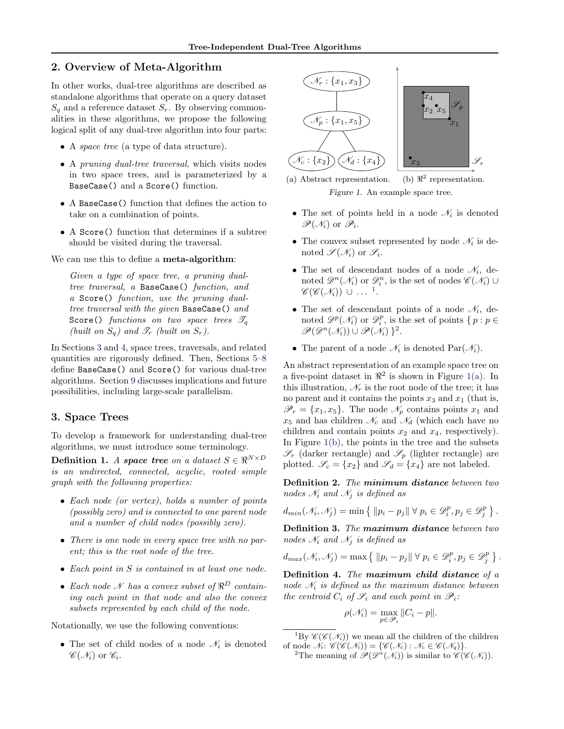# <span id="page-1-0"></span>2. Overview of Meta-Algorithm

In other works, dual-tree algorithms are described as standalone algorithms that operate on a query dataset  $S_q$  and a reference dataset  $S_r$ . By observing commonalities in these algorithms, we propose the following logical split of any dual-tree algorithm into four parts:

- A space tree (a type of data structure).
- A pruning dual-tree traversal, which visits nodes in two space trees, and is parameterized by a BaseCase() and a Score() function.
- A BaseCase() function that defines the action to take on a combination of points.
- A Score() function that determines if a subtree should be visited during the traversal.

We can use this to define a **meta-algorithm**:

Given a type of space tree, a pruning dualtree traversal, a BaseCase() function, and a Score() function, use the pruning dualtree traversal with the given BaseCase() and Score() functions on two space trees  $\mathscr{T}_a$ (built on  $S_q$ ) and  $\mathscr{T}_r$  (built on  $S_r$ ).

In Sections 3 and [4,](#page-2-0) space trees, traversals, and related quantities are rigorously defined. Then, Sections [5](#page-3-0)[–8](#page-6-0) define BaseCase() and Score() for various dual-tree algorithms. Section [9](#page-6-0) discusses implications and future possibilities, including large-scale parallelism.

# 3. Space Trees

To develop a framework for understanding dual-tree algorithms, we must introduce some terminology.

Definition 1. A space tree on a dataset  $S \in \mathbb{R}^{N \times D}$ is an undirected, connected, acyclic, rooted simple graph with the following properties:

- Each node (or vertex), holds a number of points (possibly zero) and is connected to one parent node and a number of child nodes (possibly zero).
- There is one node in every space tree with no parent; this is the root node of the tree.
- Each point in S is contained in at least one node.
- Each node  $\mathcal N$  has a convex subset of  $\Re^D$  containing each point in that node and also the convex subsets represented by each child of the node.

Notationally, we use the following conventions:

• The set of child nodes of a node  $\mathcal{N}_i$  is denoted  $\mathscr{C}(\mathscr{N}_i)$  or  $\mathscr{C}_i$ .



(a) Abstract representation. (b)  $\Re^2$  representation. Figure 1. An example space tree.

- The set of points held in a node  $\mathcal{N}_i$  is denoted  $\mathscr{P}(\mathscr{N}_i)$  or  $\mathscr{P}_i$ .
- The convex subset represented by node  $\mathcal{N}_i$  is denoted  $\mathscr{S}(\mathscr{N}_i)$  or  $\mathscr{S}_i$ .
- The set of descendant nodes of a node  $\mathcal{N}_i$ , denoted  $\mathscr{D}^n(\mathscr{N}_i)$  or  $\mathscr{D}_i^n$ , is the set of nodes  $\mathscr{C}(\mathscr{N}_i)$   $\cup$  $\mathscr{C}(\mathscr{C}(\mathscr{N}_i)) \cup ...$ <sup>1</sup>.
- The set of descendant points of a node  $\mathcal{N}_i$ , denoted  $\mathscr{D}^p(\mathcal{N}_i)$  or  $\mathscr{D}_i^p$ , is the set of points  $\{p : p \in$  $\mathscr{P}(\mathscr{D}^n(\mathscr{N}_i)) \cup \mathscr{P}(\mathscr{N}_i) \}^2$ .
- The parent of a node  $\mathcal{N}_i$  is denoted  $\text{Par}(\mathcal{N}_i)$ .

An abstract representation of an example space tree on a five-point dataset in  $\mathbb{R}^2$  is shown in Figure 1(a). In this illustration,  $\mathcal{N}_r$  is the root node of the tree; it has no parent and it contains the points  $x_3$  and  $x_1$  (that is,  $\mathscr{P}_r = \{x_1, x_5\}.$  The node  $\mathscr{N}_p$  contains points  $x_1$  and  $x_5$  and has children  $\mathcal{N}_c$  and  $\mathcal{N}_d$  (which each have no children and contain points  $x_2$  and  $x_4$ , respectively). In Figure  $1(b)$ , the points in the tree and the subsets  $\mathscr{S}_r$  (darker rectangle) and  $\mathscr{S}_p$  (lighter rectangle) are plotted.  $\mathscr{S}_c = \{x_2\}$  and  $\mathscr{S}_d = \{x_4\}$  are not labeled.

Definition 2. The minimum distance between two nodes  $\mathcal{N}_i$  and  $\mathcal{N}_j$  is defined as

$$
d_{min}(\mathcal{N}_i, \mathcal{N}_j) = \min \left\{ \| p_i - p_j \| \forall p_i \in \mathcal{D}_i^p, p_j \in \mathcal{D}_j^p \right\}.
$$

Definition 3. The maximum distance between two nodes  $\mathcal{N}_i$  and  $\mathcal{N}_j$  is defined as

$$
d_{max}(\mathcal{N}_i, \mathcal{N}_j) = \max \left\{ \|p_i - p_j\| \ \forall \ p_i \in \mathcal{D}_i^p, p_j \in \mathcal{D}_j^p \right\}.
$$

Definition 4. The maximum child distance of a node  $\mathcal{N}_i$  is defined as the maximum distance between the centroid  $C_i$  of  $\mathscr{S}_i$  and each point in  $\mathscr{P}_i$ :

$$
\rho(\mathcal{N}_i) = \max_{p \in \mathcal{P}_i} \|C_i - p\|.
$$

<sup>&</sup>lt;sup>1</sup>By  $\mathscr{C}(\mathscr{C}(\mathcal{N}_i))$  we mean all the children of the children of node  $\mathcal{N}_i$ :  $\mathscr{C}(\mathscr{C}(\mathcal{N}_i)) = {\mathscr{C}(\mathcal{N}_c) : \mathcal{N}_c \in \mathscr{C}(\mathcal{N}_q)}$ .

<sup>&</sup>lt;sup>2</sup>The meaning of  $\mathscr{P}(\mathscr{D}^n(\mathcal{N}_i))$  is similar to  $\mathscr{C}(\mathscr{C}(\mathcal{N}_i))$ .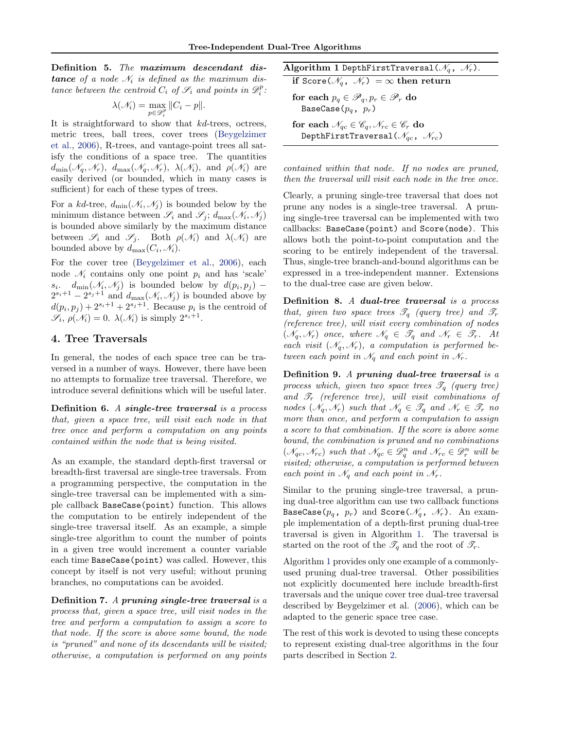<span id="page-2-0"></span>Definition 5. The maximum descendant dis**tance** of a node  $\mathcal{N}_i$  is defined as the maximum distance between the centroid  $C_i$  of  $\mathscr{S}_i$  and points in  $\mathscr{D}_i^p$ :

$$
\lambda(\mathcal{N}_i) = \max_{p \in \mathcal{D}_i^p} ||C_i - p||.
$$

It is straightforward to show that kd-trees, octrees, metric trees, ball trees, cover trees [\(Beygelzimer](#page-8-0) [et al.,](#page-8-0) [2006\)](#page-8-0), R-trees, and vantage-point trees all satisfy the conditions of a space tree. The quantities  $d_{\min}(\mathcal{N}_q, \mathcal{N}_r)$ ,  $d_{\max}(\mathcal{N}_q, \mathcal{N}_r)$ ,  $\lambda(\mathcal{N}_i)$ , and  $\rho(\mathcal{N}_i)$  are easily derived (or bounded, which in many cases is sufficient) for each of these types of trees.

For a kd-tree,  $d_{\min}(\mathcal{N}_i, \mathcal{N}_j)$  is bounded below by the minimum distance between  $\mathscr{S}_i$  and  $\mathscr{S}_j$ ;  $d_{\max}(\mathscr{N}_i, \mathscr{N}_j)$ is bounded above similarly by the maximum distance between  $\mathscr{S}_i$  and  $\mathscr{S}_j$ . Both  $\rho(\mathscr{N}_i)$  and  $\lambda(\mathscr{N}_i)$  are bounded above by  $d_{\max}(C_i, \mathcal{N}_i)$ .

For the cover tree [\(Beygelzimer et al.,](#page-8-0) [2006\)](#page-8-0), each node  $\mathcal{N}_i$  contains only one point  $p_i$  and has 'scale'  $s_i$ .  $d_{\min}(\mathcal{N}_i, \mathcal{N}_j)$  is bounded below by  $d(p_i, p_j)$  –  $2^{s_i+1} - 2^{s_j+1}$  and  $d_{\max}(\mathcal{N}_i, \mathcal{N}_j)$  is bounded above by  $d(p_i, p_j) + 2^{s_i+1} + 2^{s_j+1}$ . Because  $p_i$  is the centroid of  $\mathscr{S}_i$ ,  $\rho(\mathscr{N}_i) = 0$ .  $\lambda(\mathscr{N}_i)$  is simply  $2^{s_i+1}$ .

# 4. Tree Traversals

In general, the nodes of each space tree can be traversed in a number of ways. However, there have been no attempts to formalize tree traversal. Therefore, we introduce several definitions which will be useful later.

Definition 6. A single-tree traversal is a process that, given a space tree, will visit each node in that tree once and perform a computation on any points contained within the node that is being visited.

As an example, the standard depth-first traversal or breadth-first traversal are single-tree traversals. From a programming perspective, the computation in the single-tree traversal can be implemented with a simple callback BaseCase(point) function. This allows the computation to be entirely independent of the single-tree traversal itself. As an example, a simple single-tree algorithm to count the number of points in a given tree would increment a counter variable each time BaseCase(point) was called. However, this concept by itself is not very useful; without pruning branches, no computations can be avoided.

Definition 7. A pruning single-tree traversal is a process that, given a space tree, will visit nodes in the tree and perform a computation to assign a score to that node. If the score is above some bound, the node is "pruned" and none of its descendants will be visited; otherwise, a computation is performed on any points

Algorithm 1 DepthFirstTraversal( $\mathcal{N}_q$ ,  $\mathcal{N}_r$ ). if Score( $\mathcal{N}_q$ ,  $\mathcal{N}_r$ ) =  $\infty$  then return

for each  $p_q \in \mathscr{P}_q, p_r \in \mathscr{P}_r$  do BaseCase( $p_q$ ,  $p_r$ )

for each  $\mathcal{N}_{qc} \in \mathscr{C}_q, \mathcal{N}_{rc} \in \mathscr{C}_r$  do DepthFirstTraversal( $\mathcal{N}_{qc}$ ,  $\mathcal{N}_{rc}$ )

contained within that node. If no nodes are pruned, then the traversal will visit each node in the tree once.

Clearly, a pruning single-tree traversal that does not prune any nodes is a single-tree traversal. A pruning single-tree traversal can be implemented with two callbacks: BaseCase(point) and Score(node). This allows both the point-to-point computation and the scoring to be entirely independent of the traversal. Thus, single-tree branch-and-bound algorithms can be expressed in a tree-independent manner. Extensions to the dual-tree case are given below.

Definition 8. A dual-tree traversal is a process that, given two space trees  $\mathscr{T}_q$  (query tree) and  $\mathscr{T}_r$ (reference tree), will visit every combination of nodes  $(\mathcal{N}_q, \mathcal{N}_r)$  once, where  $\mathcal{N}_q \in \mathcal{T}_q$  and  $\mathcal{N}_r \in \mathcal{T}_r$ . At each visit  $(\mathcal{N}_q, \mathcal{N}_r)$ , a computation is performed between each point in  $\mathcal{N}_q$  and each point in  $\mathcal{N}_r$ .

Definition 9. A pruning dual-tree traversal is a process which, given two space trees  $\mathscr{T}_q$  (query tree) and  $\mathscr{T}_r$  (reference tree), will visit combinations of nodes  $(\mathcal{N}_q, \mathcal{N}_r)$  such that  $\mathcal{N}_q \in \mathcal{T}_q$  and  $\mathcal{N}_r \in \mathcal{T}_r$  no more than once, and perform a computation to assign a score to that combination. If the score is above some bound, the combination is pruned and no combinations  $(\mathscr{N}_{qc}, \mathscr{N}_{rc})$  such that  $\mathscr{N}_{qc} \in \mathscr{D}_{q}^n$  and  $\mathscr{N}_{rc} \in \mathscr{D}_{r}^n$  will be visited; otherwise, a computation is performed between each point in  $\mathcal{N}_q$  and each point in  $\mathcal{N}_r$ .

Similar to the pruning single-tree traversal, a pruning dual-tree algorithm can use two callback functions BaseCase( $p_q$ ,  $p_r$ ) and Score( $\mathcal{N}_q$ ,  $\mathcal{N}_r$ ). An example implementation of a depth-first pruning dual-tree traversal is given in Algorithm 1. The traversal is started on the root of the  $\mathscr{T}_q$  and the root of  $\mathscr{T}_r$ .

Algorithm 1 provides only one example of a commonlyused pruning dual-tree traversal. Other possibilities not explicitly documented here include breadth-first traversals and the unique cover tree dual-tree traversal described by Beygelzimer et al. [\(2006\)](#page-8-0), which can be adapted to the generic space tree case.

The rest of this work is devoted to using these concepts to represent existing dual-tree algorithms in the four parts described in Section [2.](#page-1-0)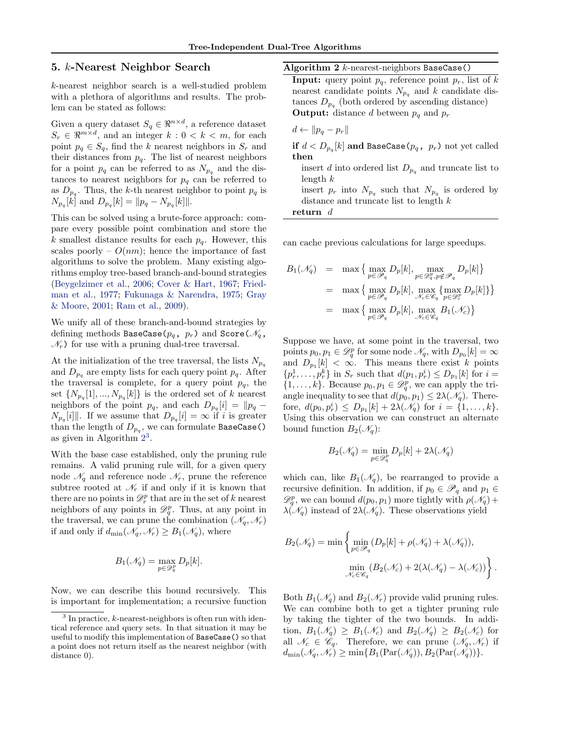## <span id="page-3-0"></span>5. k-Nearest Neighbor Search

k-nearest neighbor search is a well-studied problem with a plethora of algorithms and results. The problem can be stated as follows:

Given a query dataset  $S_q \in \mathbb{R}^{n \times d}$ , a reference dataset  $S_r \in \Re^{m \times d}$ , and an integer  $k: 0 < k < m$ , for each point  $p_q \in S_q$ , find the k nearest neighbors in  $S_r$  and their distances from  $p_q$ . The list of nearest neighbors for a point  $p_q$  can be referred to as  $N_{p_q}$  and the distances to nearest neighbors for  $p_q$  can be referred to as  $D_{p_q}$ . Thus, the k-th nearest neighbor to point  $p_q$  is  $N_{p_q}[k]$  and  $D_{p_q}[k] = ||p_q - N_{p_q}[k]||.$ 

This can be solved using a brute-force approach: compare every possible point combination and store the k smallest distance results for each  $p_q$ . However, this scales poorly –  $O(nm)$ ; hence the importance of fast algorithms to solve the problem. Many existing algorithms employ tree-based branch-and-bound strategies [\(Beygelzimer et al.,](#page-8-0) [2006;](#page-8-0) [Cover & Hart,](#page-8-0) [1967;](#page-8-0) [Fried](#page-8-0)[man et al.,](#page-8-0) [1977;](#page-8-0) [Fukunaga & Narendra,](#page-8-0) [1975;](#page-8-0) [Gray](#page-8-0) [& Moore,](#page-8-0) [2001;](#page-8-0) [Ram et al.,](#page-8-0) [2009\)](#page-8-0).

We unify all of these branch-and-bound strategies by defining methods BaseCase( $p_q$ ,  $p_r$ ) and Score( $\mathcal{N}_q$ ,  $\mathcal{N}_r$ ) for use with a pruning dual-tree traversal.

At the initialization of the tree traversal, the lists  $N_{p_q}$ and  $D_{p_q}$  are empty lists for each query point  $p_q$ . After the traversal is complete, for a query point  $p_q$ , the set  $\{N_{p_q}[1],...,N_{p_q}[k]\}$  is the ordered set of k nearest neighbors of the point  $p_q$ , and each  $D_{p_q}[i] = ||p_q - p_q||$  $N_{p_q}[i]$ . If we assume that  $D_{p_q}[i] = \infty$  if i is greater than the length of  $D_{p_q}$ , we can formulate BaseCase() as given in Algorithm<sup>23</sup>.

With the base case established, only the pruning rule remains. A valid pruning rule will, for a given query node  $\mathcal{N}_q$  and reference node  $\mathcal{N}_r$ , prune the reference subtree rooted at  $\mathcal{N}_r$  if and only if it is known that there are no points in  $\mathcal{D}_r^p$  that are in the set of k nearest neighbors of any points in  $\mathcal{D}_q^p$ . Thus, at any point in the traversal, we can prune the combination  $(\mathcal{N}_q, \mathcal{N}_r)$ if and only if  $d_{\min}(\mathcal{N}_q, \mathcal{N}_r) \geq B_1(\mathcal{N}_q)$ , where

$$
B_1(\mathcal{N}_q) = \max_{p \in \mathcal{D}_q^p} D_p[k].
$$

Now, we can describe this bound recursively. This is important for implementation; a recursive function Algorithm 2  $k$ -nearest-neighbors BaseCase()

**Input:** query point  $p_q$ , reference point  $p_r$ , list of k nearest candidate points  $N_{p_q}$  and k candidate distances  $D_{p_q}$  (both ordered by ascending distance) **Output:** distance d between  $p_q$  and  $p_r$ 

$$
d \leftarrow \|p_q - p_r\|
$$

 $\mathbf{if}\,\, d < D_{p_q}[k]$  and BaseCase $(p_q,\,\,p_r)$  not yet called then

insert d into ordered list  $D_{p_q}$  and truncate list to  $length k$ insert  $p_r$  into  $N_{p_q}$  such that  $N_{p_q}$  is ordered by distance and truncate list to length k return d

can cache previous calculations for large speedups.

$$
B_1(\mathcal{N}_q) = \max \left\{ \max_{p \in \mathcal{P}_q} D_p[k], \max_{p \in \mathcal{D}_q^p, p \notin \mathcal{P}_q} D_p[k] \right\}
$$
  
= 
$$
\max \left\{ \max_{p \in \mathcal{P}_q} D_p[k], \max_{\mathcal{N}_c \in \mathcal{C}_q} \left\{ \max_{p \in \mathcal{P}_c} D_p[k] \right\} \right\}
$$
  
= 
$$
\max \left\{ \max_{p \in \mathcal{P}_q} D_p[k], \max_{\mathcal{N}_c \in \mathcal{C}_q} B_1(\mathcal{N}_c) \right\}
$$

Suppose we have, at some point in the traversal, two points  $p_0, p_1 \in \mathcal{D}_q^p$  for some node  $\mathcal{N}_q$ , with  $D_{p_0}[k] = \infty$ and  $D_{p_1}[k] < \infty$ . This means there exist k points  $\{p_r^1, \ldots, p_r^k\}$  in  $S_r$  such that  $d(p_1, p_r^i) \le D_{p_1}[k]$  for  $i =$  $\{1, \ldots, k\}$ . Because  $p_0, p_1 \in \mathcal{D}_q^p$ , we can apply the triangle inequality to see that  $d(p_0, p_1) \leq 2\lambda(\mathcal{N}_q)$ . Therefore,  $d(p_0, p_r^i) \le D_{p_1}[k] + 2\lambda(\mathcal{N}_q)$  for  $i = \{1, ..., k\}.$ Using this observation we can construct an alternate bound function  $B_2(\mathcal{N}_q)$ :

$$
B_2(\mathcal N_q)=\min_{p\in\mathscr D_q^p}D_p[k]+2\lambda(\mathcal N_q)
$$

which can, like  $B_1(\mathcal{N}_q)$ , be rearranged to provide a recursive definition. In addition, if  $p_0 \in \mathscr{P}_q$  and  $p_1 \in$  $\mathscr{D}_q^p$ , we can bound  $d(p_0, p_1)$  more tightly with  $\rho(\mathcal{N}_q)$  +  $\lambda(\mathcal{N}_q)$  instead of  $2\lambda(\mathcal{N}_q)$ . These observations yield

$$
B_2(\mathcal{N}_q) = \min \left\{ \min_{p \in \mathcal{P}_q} (D_p[k] + \rho(\mathcal{N}_q) + \lambda(\mathcal{N}_q)), \atop \min_{\mathcal{N}_c \in \mathscr{C}_q} (B_2(\mathcal{N}_c) + 2(\lambda(\mathcal{N}_q) - \lambda(\mathcal{N}_c)) \right\}.
$$

Both  $B_1(\mathcal{N}_q)$  and  $B_2(\mathcal{N}_r)$  provide valid pruning rules. We can combine both to get a tighter pruning rule by taking the tighter of the two bounds. In addition,  $B_1(\mathscr{N}_q) \geq B_1(\mathscr{N}_c)$  and  $B_2(\mathscr{N}_q) \geq B_2(\mathscr{N}_c)$  for all  $\mathcal{N}_c \in \mathscr{C}_q$ . Therefore, we can prune  $(\mathcal{N}_q, \mathcal{N}_r)$  if  $d_{\min}(\mathcal{N}_q, \mathcal{N}_r) \geq \min\{B_1(\text{Par}(\mathcal{N}_q)), B_2(\text{Par}(\mathcal{N}_q))\}.$ 

<sup>&</sup>lt;sup>3</sup> In practice, k-nearest-neighbors is often run with identical reference and query sets. In that situation it may be useful to modify this implementation of BaseCase() so that a point does not return itself as the nearest neighbor (with distance 0).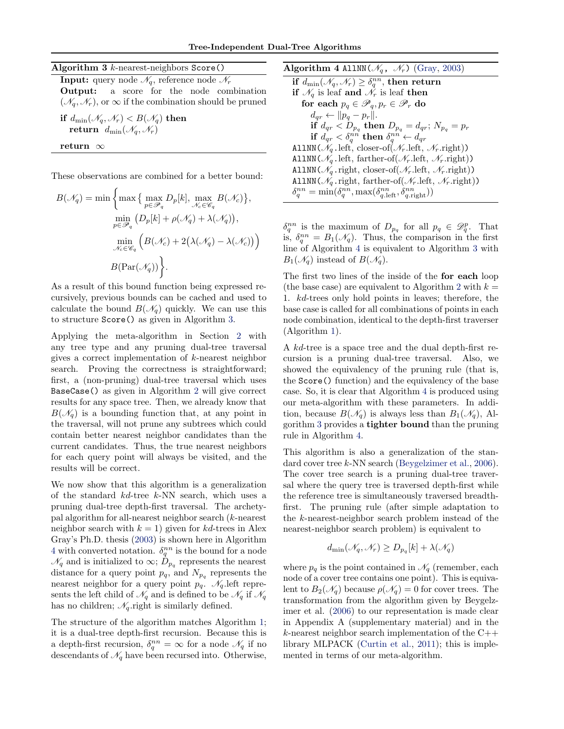Algorithm  $3$  k-nearest-neighbors Score()

**Input:** query node  $\mathcal{N}_q$ , reference node  $\mathcal{N}_r$ Output: a score for the node combination  $(\mathcal{N}_q, \mathcal{N}_r)$ , or  $\infty$  if the combination should be pruned

$$
\begin{array}{l} \textbf{if} \,\, d_{\min}(\mathscr{N}_q, \mathscr{N}_r) < B(\mathscr{N}_q) \textbf{ then} \\ \textbf{return} \,\, d_{\min}(\mathscr{N}_q, \mathscr{N}_r) \end{array}
$$

return ∞

These observations are combined for a better bound:

$$
B(\mathcal{N}_q) = \min \left\{ \max \left\{ \max_{p \in \mathcal{P}_q} D_p[k], \max_{\mathcal{N}_c \in \mathcal{C}_q} B(\mathcal{N}_c) \right\}, \min_{p \in \mathcal{P}_q} (D_p[k] + \rho(\mathcal{N}_q) + \lambda(\mathcal{N}_q)), \min_{\mathcal{N}_c \in \mathcal{C}_q} \left( B(\mathcal{N}_c) + 2(\lambda(\mathcal{N}_q) - \lambda(\mathcal{N}_c)) \right) \right\}
$$

$$
B(\text{Par}(\mathcal{N}_q)) \left\}.
$$

As a result of this bound function being expressed recursively, previous bounds can be cached and used to calculate the bound  $B(\mathcal{N}_q)$  quickly. We can use this to structure Score() as given in Algorithm 3.

Applying the meta-algorithm in Section [2](#page-1-0) with any tree type and any pruning dual-tree traversal gives a correct implementation of k-nearest neighbor search. Proving the correctness is straightforward; first, a (non-pruning) dual-tree traversal which uses BaseCase() as given in Algorithm [2](#page-3-0) will give correct results for any space tree. Then, we already know that  $B(\mathscr{N}_q)$  is a bounding function that, at any point in the traversal, will not prune any subtrees which could contain better nearest neighbor candidates than the current candidates. Thus, the true nearest neighbors for each query point will always be visited, and the results will be correct.

We now show that this algorithm is a generalization of the standard kd-tree k-NN search, which uses a pruning dual-tree depth-first traversal. The archetypal algorithm for all-nearest neighbor search (k-nearest neighbor search with  $k = 1$ ) given for kd-trees in Alex Gray's Ph.D. thesis [\(2003\)](#page-8-0) is shown here in Algorithm 4 with converted notation.  $\delta_q^{nn}$  is the bound for a node  $\mathcal{N}_q$  and is initialized to  $\infty$ ;  $\bar{D}_{p_q}$  represents the nearest distance for a query point  $p_q$ , and  $N_{p_q}$  represents the nearest neighbor for a query point  $p_q$ .  $\mathcal{N}_q$  left represents the left child of  $\mathcal{N}_q$  and is defined to be  $\mathcal{N}_q$  if  $\mathcal{N}_q$ has no children;  $\mathcal{N}_q$  right is similarly defined.

The structure of the algorithm matches Algorithm [1;](#page-2-0) it is a dual-tree depth-first recursion. Because this is a depth-first recursion,  $\delta_q^{nn} = \infty$  for a node  $\mathcal{N}_q$  if no descendants of  $\mathcal{N}_q$  have been recursed into. Otherwise, Algorithm 4 AllNN( $\mathcal{N}_q$ ,  $\mathcal{N}_r$ ) [\(Gray,](#page-8-0) [2003\)](#page-8-0) if  $d_{\min}(\mathscr{N}_q, \mathscr{N}_r) \geq \delta_q^{nn},$  then return if  $\mathcal{N}_q$  is leaf and  $\mathcal{N}_r$  is leaf then for each  $p_q \in \mathscr{P}_q, p_r \in \mathscr{P}_r$  do  $d_{qr} \leftarrow ||p_q - p_r||.$  ${\bf if}\,\, d_{qr} < D_{p_q} \,\,{\bf then}\,\, D_{p_q} = d_{qr};\, N_{p_q} = p_r$  $\mathbf{if} \,\, d_{qr} < \delta_q^{nn} \,\, \mathbf{then} \,\, \delta_q^{nn} \leftarrow d_{qr}$ AllNN( $\mathcal{N}_a$ . left, closer-of( $\mathcal{N}_r$ . left,  $\mathcal{N}_r$ . right)) AllNN( $\mathcal{N}_a$ . left, farther-of( $\mathcal{N}_r$ . left,  $\mathcal{N}_r$ . right)) AllNN( $\mathcal{N}_q$ .right, closer-of( $\mathcal{N}_r$ .left,  $\mathcal{N}_r$ .right)) AllNN( $\mathcal{N}_q$ .right, farther-of( $\mathcal{N}_r$ .left,  $\mathcal{N}_r$ .right))  $\delta_q^{nn} = \min(\delta_q^{nn}, \max(\delta_{q,\text{left}}^{nn}, \delta_{q,\text{right}}^{nn}))$ 

 $\delta_q^{nn}$  is the maximum of  $D_{p_q}$  for all  $p_q \in \mathscr{D}_q^p$ . That is,  $\delta_q^{nn} = B_1(\mathscr{N}_q)$ . Thus, the comparison in the first line of Algorithm 4 is equivalent to Algorithm 3 with  $B_1(\mathscr{N}_q)$  instead of  $B(\mathscr{N}_q)$ .

The first two lines of the inside of the for each loop (the base case) are equivalent to Algorithm [2](#page-3-0) with  $k =$ 1. kd-trees only hold points in leaves; therefore, the base case is called for all combinations of points in each node combination, identical to the depth-first traverser (Algorithm [1\)](#page-2-0).

A kd-tree is a space tree and the dual depth-first recursion is a pruning dual-tree traversal. Also, we showed the equivalency of the pruning rule (that is, the Score() function) and the equivalency of the base case. So, it is clear that Algorithm 4 is produced using our meta-algorithm with these parameters. In addition, because  $B(\mathcal{N}_q)$  is always less than  $B_1(\mathcal{N}_q)$ , Algorithm 3 provides a tighter bound than the pruning rule in Algorithm 4.

This algorithm is also a generalization of the standard cover tree k-NN search [\(Beygelzimer et al.,](#page-8-0) [2006\)](#page-8-0). The cover tree search is a pruning dual-tree traversal where the query tree is traversed depth-first while the reference tree is simultaneously traversed breadthfirst. The pruning rule (after simple adaptation to the k-nearest-neighbor search problem instead of the nearest-neighbor search problem) is equivalent to

$$
d_{\min}(\mathcal{N}_q, \mathcal{N}_r) \ge D_{p_q}[k] + \lambda(\mathcal{N}_q)
$$

where  $p_q$  is the point contained in  $\mathcal{N}_q$  (remember, each node of a cover tree contains one point). This is equivalent to  $B_2(\mathcal{N}_q)$  because  $\rho(\mathcal{N}_q) = 0$  for cover trees. The transformation from the algorithm given by Beygelzimer et al. [\(2006\)](#page-8-0) to our representation is made clear in Appendix A (supplementary material) and in the k-nearest neighbor search implementation of the C++ library MLPACK [\(Curtin et al.,](#page-8-0) [2011\)](#page-8-0); this is implemented in terms of our meta-algorithm.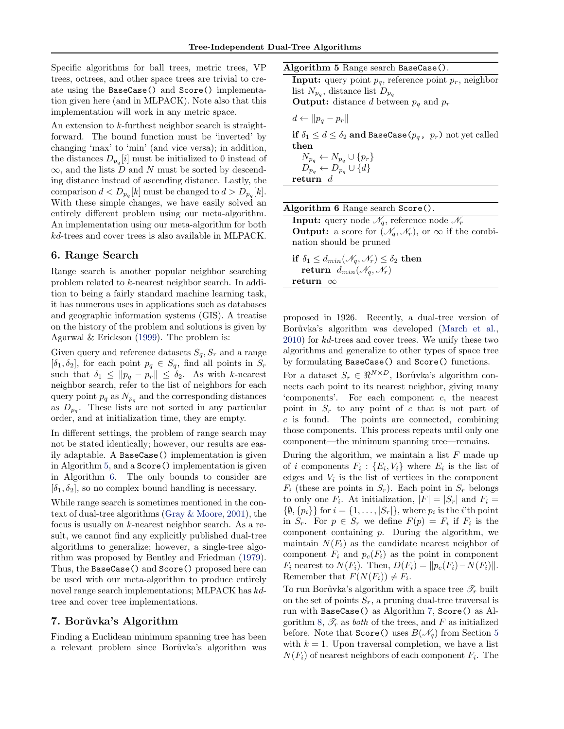<span id="page-5-0"></span>Specific algorithms for ball trees, metric trees, VP trees, octrees, and other space trees are trivial to create using the BaseCase() and Score() implementation given here (and in MLPACK). Note also that this implementation will work in any metric space.

An extension to k-furthest neighbor search is straightforward. The bound function must be 'inverted' by changing 'max' to 'min' (and vice versa); in addition, the distances  $D_{p_q}[i]$  must be initialized to 0 instead of  $\infty$ , and the lists D and N must be sorted by descending distance instead of ascending distance. Lastly, the comparison  $d < D_{p_q}[k]$  must be changed to  $d > D_{p_q}[k]$ . With these simple changes, we have easily solved an entirely different problem using our meta-algorithm. An implementation using our meta-algorithm for both kd-trees and cover trees is also available in MLPACK.

# 6. Range Search

Range search is another popular neighbor searching problem related to k-nearest neighbor search. In addition to being a fairly standard machine learning task, it has numerous uses in applications such as databases and geographic information systems (GIS). A treatise on the history of the problem and solutions is given by Agarwal & Erickson [\(1999\)](#page-8-0). The problem is:

Given query and reference datasets  $S_q$ ,  $S_r$  and a range  $[\delta_1, \delta_2]$ , for each point  $p_q \in S_q$ , find all points in  $S_r$ such that  $\delta_1 \leq \|p_q - p_r\| \leq \delta_2$ . As with k-nearest neighbor search, refer to the list of neighbors for each query point  $p_q$  as  $N_{p_q}$  and the corresponding distances as  $D_{p_q}$ . These lists are not sorted in any particular order, and at initialization time, they are empty.

In different settings, the problem of range search may not be stated identically; however, our results are easily adaptable. A BaseCase() implementation is given in Algorithm 5, and a Score() implementation is given in Algorithm 6. The only bounds to consider are  $[\delta_1, \delta_2]$ , so no complex bound handling is necessary.

While range search is sometimes mentioned in the context of dual-tree algorithms [\(Gray & Moore,](#page-8-0) [2001\)](#page-8-0), the focus is usually on  $k$ -nearest neighbor search. As a result, we cannot find any explicitly published dual-tree algorithms to generalize; however, a single-tree algorithm was proposed by Bentley and Friedman [\(1979\)](#page-8-0). Thus, the BaseCase() and Score() proposed here can be used with our meta-algorithm to produce entirely novel range search implementations; MLPACK has kdtree and cover tree implementations.

#### 7. Borůvka's Algorithm

Finding a Euclidean minimum spanning tree has been a relevant problem since Borůvka's algorithm was Algorithm 5 Range search BaseCase().

**Input:** query point  $p_q$ , reference point  $p_r$ , neighbor list  $N_{p_q}$ , distance list  $D_{p_q}$ 

**Output:** distance d between  $p_q$  and  $p_r$ 

$$
d \leftarrow \|p_q - p_r\|
$$

if  $\delta_1 \leq d \leq \delta_2$  and BaseCase( $p_q$ ,  $p_r$ ) not yet called then

$$
N_{p_q} \leftarrow N_{p_q} \cup \{p_r\}
$$
  

$$
D_{p_q} \leftarrow D_{p_q} \cup \{d\}
$$
  
return 
$$
d
$$

Algorithm 6 Range search Score(). Input: query node  $\mathscr{N}_q,$  reference node  $\mathscr{N}_r$ **Output:** a score for  $(\mathcal{N}_q, \mathcal{N}_r)$ , or  $\infty$  if the combination should be pruned if  $\delta_1 \leq d_{min}(\mathcal{N}_a, \mathcal{N}_r) \leq \delta_2$  then

return  $d_{min}(\mathcal{N}_q, \mathcal{N}_r)$ return ∞

proposed in 1926. Recently, a dual-tree version of Borůvka's algorithm was developed [\(March et al.,](#page-8-0) [2010\)](#page-8-0) for kd-trees and cover trees. We unify these two algorithms and generalize to other types of space tree by formulating BaseCase() and Score() functions.

For a dataset  $S_r \in \Re^{N \times D}$ , Borůvka's algorithm connects each point to its nearest neighbor, giving many 'components'. For each component c, the nearest point in  $S_r$  to any point of c that is not part of c is found. The points are connected, combining those components. This process repeats until only one component—the minimum spanning tree—remains.

During the algorithm, we maintain a list  $F$  made up of i components  $F_i: \{E_i, V_i\}$  where  $E_i$  is the list of edges and  $V_i$  is the list of vertices in the component  $F_i$  (these are points in  $S_r$ ). Each point in  $S_r$  belongs to only one  $F_i$ . At initialization,  $|F| = |S_r|$  and  $F_i =$  $\{\emptyset, \{p_i\}\}\$ for  $i = \{1, \ldots, |S_r|\}$ , where  $p_i$  is the *i*'th point in  $S_r$ . For  $p \in S_r$  we define  $F(p) = F_i$  if  $F_i$  is the component containing  $p$ . During the algorithm, we maintain  $N(F_i)$  as the candidate nearest neighbor of component  $F_i$  and  $p_c(F_i)$  as the point in component  $F_i$  nearest to  $N(F_i)$ . Then,  $D(F_i) = ||p_c(F_i) - N(F_i)||$ . Remember that  $F(N(F_i)) \neq F_i$ .

To run Borůvka's algorithm with a space tree  $\mathscr{T}_r$  built on the set of points  $S_r$ , a pruning dual-tree traversal is run with BaseCase() as Algorithm [7,](#page-6-0) Score() as Al-gorithm [8,](#page-6-0)  $\mathscr{T}_r$  as *both* of the trees, and F as initialized before. Note that  $Score()$  uses  $B(\mathcal{N}_q)$  from Section [5](#page-3-0) with  $k = 1$ . Upon traversal completion, we have a list  $N(F_i)$  of nearest neighbors of each component  $F_i$ . The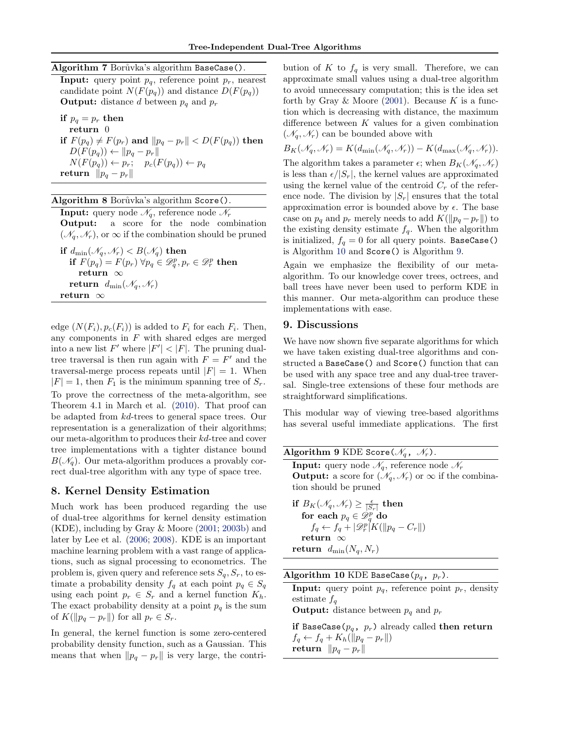#### <span id="page-6-0"></span>Algorithm 7 Borůvka's algorithm BaseCase().

**Input:** query point  $p_q$ , reference point  $p_r$ , nearest candidate point  $N(F(p_q))$  and distance  $D(F(p_q))$ **Output:** distance d between  $p_q$  and  $p_r$ 

if  $p_q = p_r$  then return 0 if  $F(p_q) \neq F(p_r)$  and  $||p_q - p_r|| < D(F(p_q))$  then  $D(F(p_q)) \leftarrow ||p_q - p_r||$  $N(F(p_q)) \leftarrow p_r; \quad p_c(F(p_q)) \leftarrow p_q$ return  $\|p_q - p_r\|$ 

#### Algorithm 8 Borůvka's algorithm Score().

return ∞

**Input:** query node  $\mathcal{N}_q$ , reference node  $\mathcal{N}_r$ Output: a score for the node combination  $(\mathcal{N}_q, \mathcal{N}_r)$ , or  $\infty$  if the combination should be pruned if  $d_{\min}(\mathcal{N}_q, \mathcal{N}_r) < B(\mathcal{N}_q)$  then  $\mathbf{if}\,\,F(p_q)=F(p_r)\,\,\forall p_q\in \mathscr{D}_q^p, p_r\in \mathscr{D}_r^p\,\, \mathbf{then}$ return ∞ return  $d_{\min}(\mathcal{N}_q, \mathcal{N}_r)$ 

edge  $(N(F_i), p_c(F_i))$  is added to  $F_i$  for each  $F_i$ . Then, any components in  $F$  with shared edges are merged into a new list F' where  $|F'| < |F|$ . The pruning dualtree traversal is then run again with  $F = F'$  and the traversal-merge process repeats until  $|F| = 1$ . When  $|F| = 1$ , then  $F_1$  is the minimum spanning tree of  $S_r$ . To prove the correctness of the meta-algorithm, see Theorem 4.1 in March et al. [\(2010\)](#page-8-0). That proof can be adapted from kd-trees to general space trees. Our representation is a generalization of their algorithms; our meta-algorithm to produces their kd-tree and cover tree implementations with a tighter distance bound  $B(\mathcal{N}_q)$ . Our meta-algorithm produces a provably correct dual-tree algorithm with any type of space tree.

## 8. Kernel Density Estimation

Much work has been produced regarding the use of dual-tree algorithms for kernel density estimation (KDE), including by Gray & Moore [\(2001;](#page-8-0) [2003b\)](#page-8-0) and later by Lee et al. [\(2006;](#page-8-0) [2008\)](#page-8-0). KDE is an important machine learning problem with a vast range of applications, such as signal processing to econometrics. The problem is, given query and reference sets  $S_q$ ,  $S_r$ , to estimate a probability density  $f_q$  at each point  $p_q \in S_q$ using each point  $p_r \in S_r$  and a kernel function  $K_h$ . The exact probability density at a point  $p_q$  is the sum of  $K(||p_q - p_r||)$  for all  $p_r \in S_r$ .

In general, the kernel function is some zero-centered probability density function, such as a Gaussian. This means that when  $\|p_q - p_r\|$  is very large, the contribution of K to  $f_q$  is very small. Therefore, we can approximate small values using a dual-tree algorithm to avoid unnecessary computation; this is the idea set forth by Gray & Moore  $(2001)$ . Because K is a function which is decreasing with distance, the maximum difference between  $K$  values for a given combination  $(\mathscr{N}_q, \mathscr{N}_r)$  can be bounded above with

$$
B_K(\mathscr{N}_q, \mathscr{N}_r) = K(d_{\min}(\mathscr{N}_q, \mathscr{N}_r)) - K(d_{\max}(\mathscr{N}_q, \mathscr{N}_r)).
$$
 The algorithm takes a parameter  $\epsilon$ ; when  $B_K(\mathscr{N}_q, \mathscr{N}_r)$  is less than  $\epsilon / |S_r|$ , the kernel values are approximated

using the kernel value of the centroid  $C_r$  of the reference node. The division by  $|S_r|$  ensures that the total approximation error is bounded above by  $\epsilon$ . The base case on  $p_q$  and  $p_r$  merely needs to add  $K(\|p_q-p_r\|)$  to the existing density estimate  $f_q$ . When the algorithm is initialized,  $f_q = 0$  for all query points. BaseCase() is Algorithm 10 and Score() is Algorithm 9.

Again we emphasize the flexibility of our metaalgorithm. To our knowledge cover trees, octrees, and ball trees have never been used to perform KDE in this manner. Our meta-algorithm can produce these implementations with ease.

# 9. Discussions

We have now shown five separate algorithms for which we have taken existing dual-tree algorithms and constructed a BaseCase() and Score() function that can be used with any space tree and any dual-tree traversal. Single-tree extensions of these four methods are straightforward simplifications.

This modular way of viewing tree-based algorithms has several useful immediate applications. The first

| Algorithm 9 KDE Score( $\mathcal{N}_q$ , $\mathcal{N}_r$ ).                             |
|-----------------------------------------------------------------------------------------|
| <b>Input:</b> query node $\mathcal{N}_q$ , reference node $\mathcal{N}_r$               |
| <b>Output:</b> a score for $(\mathcal{N}_q, \mathcal{N}_r)$ or $\infty$ if the combina- |
| tion should be pruned                                                                   |
| if $B_K(\mathscr{N}_q, \mathscr{N}_r) \geq \frac{\epsilon}{ S_r }$ then                 |
| for each $p_q \in \mathscr{D}_q^p$ do                                                   |
| $f_q \leftarrow f_q +  \mathscr{D}_r^p[K(\Vert p_q - C_r \Vert)]$                       |
|                                                                                         |

return ∞ return  $d_{\min}(N_q, N_r)$ 

| Algorithm 10 KDE BaseCase( $p_q$ , $p_r$ ). |  |  |  |  |  |
|---------------------------------------------|--|--|--|--|--|
|---------------------------------------------|--|--|--|--|--|

**Input:** query point  $p_q$ , reference point  $p_r$ , density estimate  $f_q$ 

**Output:** distance between  $p_q$  and  $p_r$ 

if BaseCase( $p_q$ ,  $p_r$ ) already called then return  $f_q \leftarrow f_q + K_h(||p_q - p_r||)$ return  $\|p_q - p_r\|$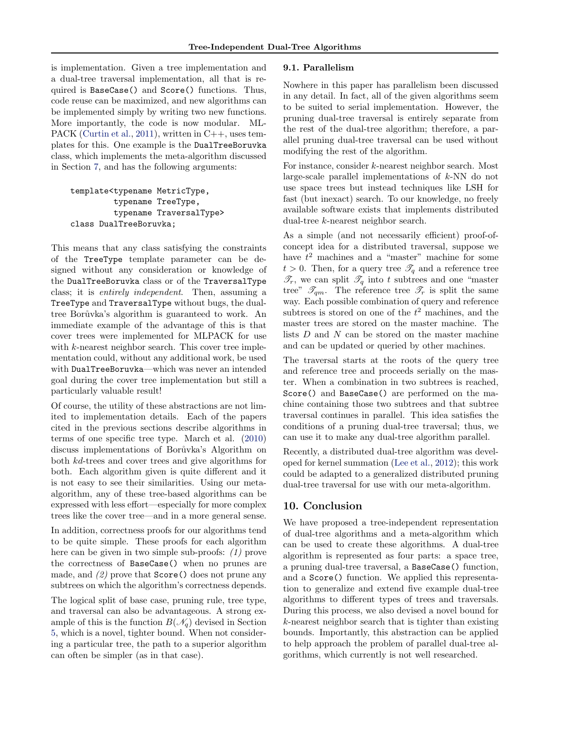is implementation. Given a tree implementation and a dual-tree traversal implementation, all that is required is BaseCase() and Score() functions. Thus, code reuse can be maximized, and new algorithms can be implemented simply by writing two new functions. More importantly, the code is now modular. ML-PACK [\(Curtin et al.,](#page-8-0) [2011\)](#page-8-0), written in C++, uses templates for this. One example is the DualTreeBoruvka class, which implements the meta-algorithm discussed in Section [7,](#page-5-0) and has the following arguments:

template<typename MetricType, typename TreeType, typename TraversalType> class DualTreeBoruvka;

This means that any class satisfying the constraints of the TreeType template parameter can be designed without any consideration or knowledge of the DualTreeBoruvka class or of the TraversalType class; it is entirely independent. Then, assuming a TreeType and TraversalType without bugs, the dualtree Borůvka's algorithm is guaranteed to work. An immediate example of the advantage of this is that cover trees were implemented for MLPACK for use with k-nearest neighbor search. This cover tree implementation could, without any additional work, be used with DualTreeBoruvka—which was never an intended goal during the cover tree implementation but still a particularly valuable result!

Of course, the utility of these abstractions are not limited to implementation details. Each of the papers cited in the previous sections describe algorithms in terms of one specific tree type. March et al. [\(2010\)](#page-8-0) discuss implementations of Borůvka's Algorithm on both kd-trees and cover trees and give algorithms for both. Each algorithm given is quite different and it is not easy to see their similarities. Using our metaalgorithm, any of these tree-based algorithms can be expressed with less effort—especially for more complex trees like the cover tree—and in a more general sense.

In addition, correctness proofs for our algorithms tend to be quite simple. These proofs for each algorithm here can be given in two simple sub-proofs: (1) prove the correctness of BaseCase() when no prunes are made, and  $(2)$  prove that  $Score()$  does not prune any subtrees on which the algorithm's correctness depends.

The logical split of base case, pruning rule, tree type, and traversal can also be advantageous. A strong example of this is the function  $B(\mathcal{N}_q)$  devised in Section [5,](#page-3-0) which is a novel, tighter bound. When not considering a particular tree, the path to a superior algorithm can often be simpler (as in that case).

#### 9.1. Parallelism

Nowhere in this paper has parallelism been discussed in any detail. In fact, all of the given algorithms seem to be suited to serial implementation. However, the pruning dual-tree traversal is entirely separate from the rest of the dual-tree algorithm; therefore, a parallel pruning dual-tree traversal can be used without modifying the rest of the algorithm.

For instance, consider k-nearest neighbor search. Most large-scale parallel implementations of k-NN do not use space trees but instead techniques like LSH for fast (but inexact) search. To our knowledge, no freely available software exists that implements distributed dual-tree k-nearest neighbor search.

As a simple (and not necessarily efficient) proof-ofconcept idea for a distributed traversal, suppose we have  $t^2$  machines and a "master" machine for some  $t > 0$ . Then, for a query tree  $\mathscr{T}_q$  and a reference tree  $\mathscr{T}_r$ , we can split  $\mathscr{T}_q$  into t subtrees and one "master tree"  $\mathscr{T}_{qm}$ . The reference tree  $\mathscr{T}_r$  is split the same way. Each possible combination of query and reference subtrees is stored on one of the  $t^2$  machines, and the master trees are stored on the master machine. The lists  $D$  and  $N$  can be stored on the master machine and can be updated or queried by other machines.

The traversal starts at the roots of the query tree and reference tree and proceeds serially on the master. When a combination in two subtrees is reached, Score() and BaseCase() are performed on the machine containing those two subtrees and that subtree traversal continues in parallel. This idea satisfies the conditions of a pruning dual-tree traversal; thus, we can use it to make any dual-tree algorithm parallel.

Recently, a distributed dual-tree algorithm was developed for kernel summation [\(Lee et al.,](#page-8-0) [2012\)](#page-8-0); this work could be adapted to a generalized distributed pruning dual-tree traversal for use with our meta-algorithm.

# 10. Conclusion

We have proposed a tree-independent representation of dual-tree algorithms and a meta-algorithm which can be used to create these algorithms. A dual-tree algorithm is represented as four parts: a space tree, a pruning dual-tree traversal, a BaseCase() function, and a Score() function. We applied this representation to generalize and extend five example dual-tree algorithms to different types of trees and traversals. During this process, we also devised a novel bound for k-nearest neighbor search that is tighter than existing bounds. Importantly, this abstraction can be applied to help approach the problem of parallel dual-tree algorithms, which currently is not well researched.